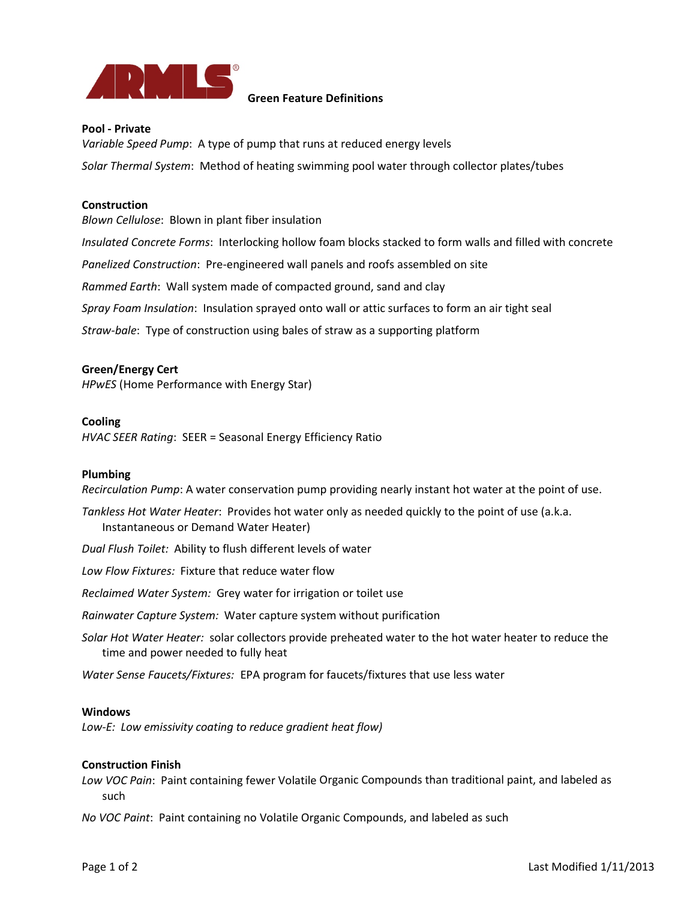

### **Green Feature Definitions**

### **Pool ‐ Private**

*Variable Speed Pump*: A type of pump that runs at reduced energy levels *Solar Thermal System*: Method of heating swimming pool water through collector plates/tubes

#### **Construction**

*Blown Cellulose*: Blown in plant fiber insulation

*Insulated Concrete Forms*: Interlocking hollow foam blocks stacked to form walls and filled with concrete

*Panelized Construction*: Pre‐engineered wall panels and roofs assembled on site

*Rammed Earth*: Wall system made of compacted ground, sand and clay

*Spray Foam Insulation*: Insulation sprayed onto wall or attic surfaces to form an air tight seal

*Straw‐bale*: Type of construction using bales of straw as a supporting platform

### **Green/Energy Cert**

*HPwES* (Home Performance with Energy Star)

### **Cooling**

*HVAC SEER Rating*: SEER = Seasonal Energy Efficiency Ratio

### **Plumbing**

*Recirculation Pump*: A water conservation pump providing nearly instant hot water at the point of use.

*Tankless Hot Water Heater*: Provides hot water only as needed quickly to the point of use (a.k.a. Instantaneous or Demand Water Heater)

*Dual Flush Toilet:* Ability to flush different levels of water

*Low Flow Fixtures:* Fixture that reduce water flow

*Reclaimed Water System:* Grey water for irrigation or toilet use

*Rainwater Capture System:* Water capture system without purification

*Solar Hot Water Heater:* solar collectors provide preheated water to the hot water heater to reduce the time and power needed to fully heat

*Water Sense Faucets/Fixtures:* EPA program for faucets/fixtures that use less water

### **Windows**

*Low‐E: Low emissivity coating to reduce gradient heat flow)*

### **Construction Finish**

*Low VOC Pain*: Paint containing fewer Volatile Organic Compounds than traditional paint, and labeled as such

*No VOC Paint*: Paint containing no Volatile Organic Compounds, and labeled as such